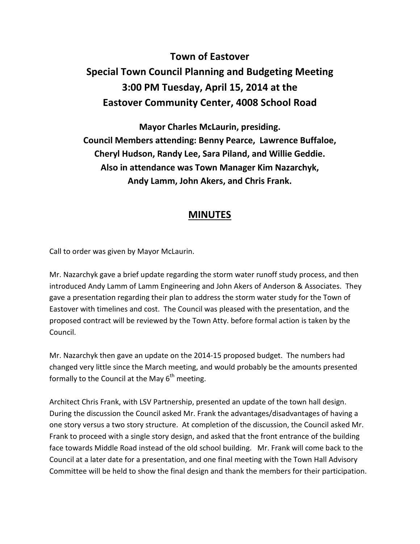## **Town of Eastover Special Town Council Planning and Budgeting Meeting 3:00 PM Tuesday, April 15, 2014 at the Eastover Community Center, 4008 School Road**

**Mayor Charles McLaurin, presiding. Council Members attending: Benny Pearce, Lawrence Buffaloe, Cheryl Hudson, Randy Lee, Sara Piland, and Willie Geddie. Also in attendance was Town Manager Kim Nazarchyk, Andy Lamm, John Akers, and Chris Frank.** 

## **MINUTES**

Call to order was given by Mayor McLaurin.

Mr. Nazarchyk gave a brief update regarding the storm water runoff study process, and then introduced Andy Lamm of Lamm Engineering and John Akers of Anderson & Associates. They gave a presentation regarding their plan to address the storm water study for the Town of Eastover with timelines and cost. The Council was pleased with the presentation, and the proposed contract will be reviewed by the Town Atty. before formal action is taken by the Council.

Mr. Nazarchyk then gave an update on the 2014-15 proposed budget. The numbers had changed very little since the March meeting, and would probably be the amounts presented formally to the Council at the May  $6<sup>th</sup>$  meeting.

Architect Chris Frank, with LSV Partnership, presented an update of the town hall design. During the discussion the Council asked Mr. Frank the advantages/disadvantages of having a one story versus a two story structure. At completion of the discussion, the Council asked Mr. Frank to proceed with a single story design, and asked that the front entrance of the building face towards Middle Road instead of the old school building. Mr. Frank will come back to the Council at a later date for a presentation, and one final meeting with the Town Hall Advisory Committee will be held to show the final design and thank the members for their participation.